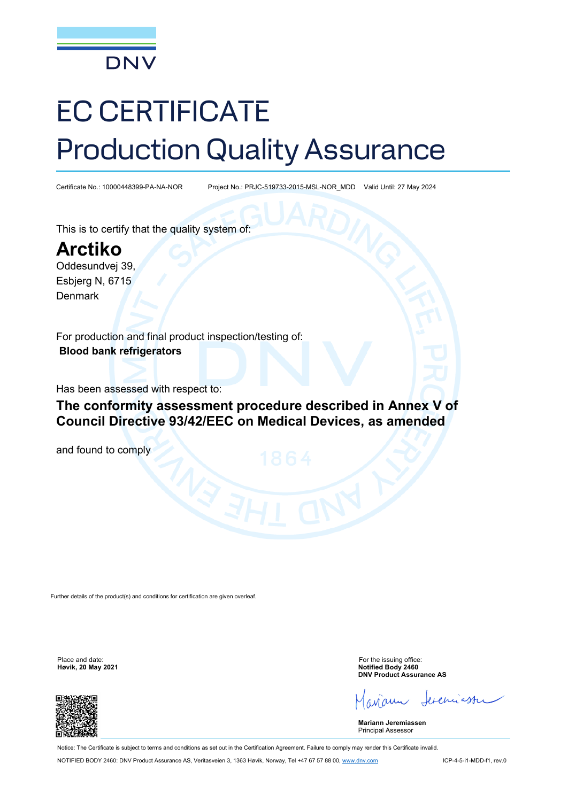

# EC CERTIFICATE Production Quality Assurance

Certificate No.: 10000448399-PA-NA-NOR Project No.: PRJC-519733-2015-MSL-NOR\_MDD Valid Until: 27 May 2024

This is to certify that the quality system of:

**Arctiko** Oddesundvej 39,

Esbjerg N, 6715 Denmark

For production and final product inspection/testing of: **Blood bank refrigerators**

Has been assessed with respect to:

**The conformity assessment procedure described in Annex V of Council Directive 93/42/EEC on Medical Devices, as amended** 

and found to comply

Further details of the product(s) and conditions for certification are given overleaf.

**Høvik, 20 May 2021** 



Place and date: For the issuing office:<br> **Place and date:** For the issuing office:<br> **Hevik. 20 May 2021 DNV Product Assurance AS**

exern

**Mariann Jeremiassen** Principal Assessor

Notice: The Certificate is subject to terms and conditions as set out in the Certification Agreement. Failure to comply may render this Certificate invalid. NOTIFIED BODY 2460: DNV Product Assurance AS, Veritasveien 3, 1363 Høvik, Norway, Tel +47 67 57 88 00[, www.dnv.com](http://www.dnv.com/) ICP-4-5-i1-MDD-f1, rev.0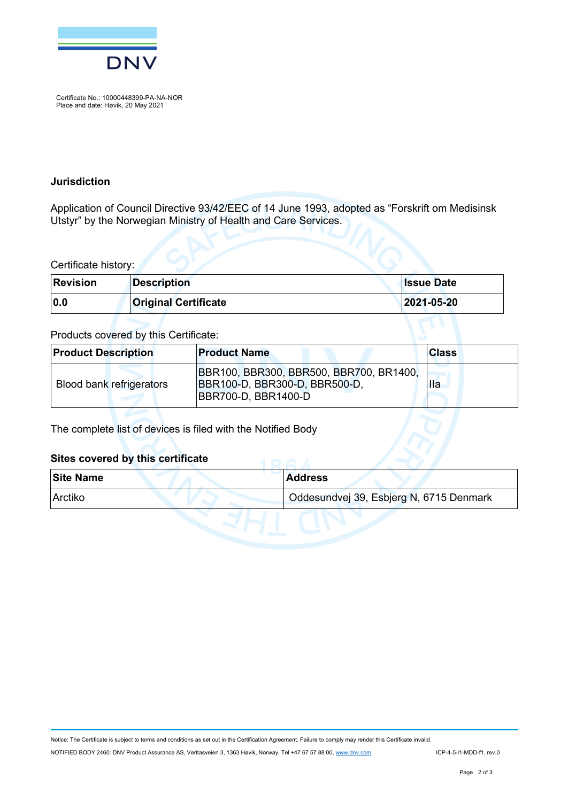

Certificate No.: 10000448399-PA-NA-NOR Place and date: Høvik, 20 May 2021

#### **Jurisdiction**

Application of Council Directive 93/42/EEC of 14 June 1993, adopted as "Forskrift om Medisinsk Utstyr" by the Norwegian Ministry of Health and Care Services.

Certificate history:

| <b>Revision</b> | Description                 | <b>Ilssue Date</b> |
|-----------------|-----------------------------|--------------------|
| 0.0             | <b>Original Certificate</b> | 2021-05-20         |

#### Products covered by this Certificate:

| <b>Product Description</b> | <b>Product Name</b>                                                                              | <b>Class</b> |
|----------------------------|--------------------------------------------------------------------------------------------------|--------------|
| Blood bank refrigerators   | BBR100, BBR300, BBR500, BBR700, BR1400,<br>BBR100-D, BBR300-D, BBR500-D,<br> BBR700-D, BBR1400-D | <b>Ila</b>   |

The complete list of devices is filed with the Notified Body

#### **Sites covered by this certificate**

| <b>Site Name</b> | <b>Address</b>                          |
|------------------|-----------------------------------------|
| <b>Arctiko</b>   | Oddesundvej 39, Esbjerg N, 6715 Denmark |
|                  |                                         |